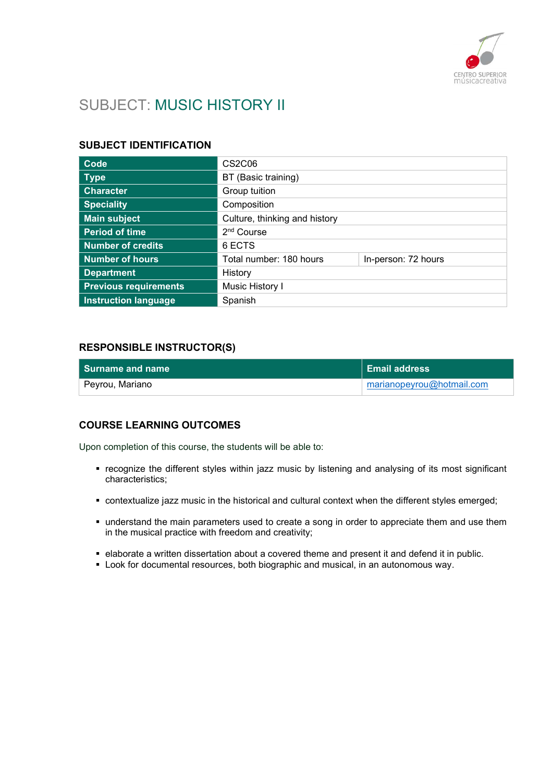

# SUBJECT: MUSIC HISTORY II

#### SUBJECT IDENTIFICATION

| Code                         | <b>CS2C06</b>                 |                     |
|------------------------------|-------------------------------|---------------------|
| <b>Type</b>                  | BT (Basic training)           |                     |
| <b>Character</b>             | Group tuition                 |                     |
| <b>Speciality</b>            | Composition                   |                     |
| <b>Main subject</b>          | Culture, thinking and history |                     |
| <b>Period of time</b>        | 2 <sup>nd</sup> Course        |                     |
| <b>Number of credits</b>     | 6 ECTS                        |                     |
| <b>Number of hours</b>       | Total number: 180 hours       | In-person: 72 hours |
| <b>Department</b>            | History                       |                     |
| <b>Previous requirements</b> | Music History I               |                     |
| <b>Instruction language</b>  | Spanish                       |                     |

#### RESPONSIBLE INSTRUCTOR(S)

| l Surname and name | <b>Email address</b>      |
|--------------------|---------------------------|
| Peyrou, Mariano    | marianopeyrou@hotmail.com |

#### COURSE LEARNING OUTCOMES

Upon completion of this course, the students will be able to:

- recognize the different styles within jazz music by listening and analysing of its most significant characteristics;
- contextualize jazz music in the historical and cultural context when the different styles emerged;
- understand the main parameters used to create a song in order to appreciate them and use them in the musical practice with freedom and creativity;
- elaborate a written dissertation about a covered theme and present it and defend it in public.
- **Look for documental resources, both biographic and musical, in an autonomous way.**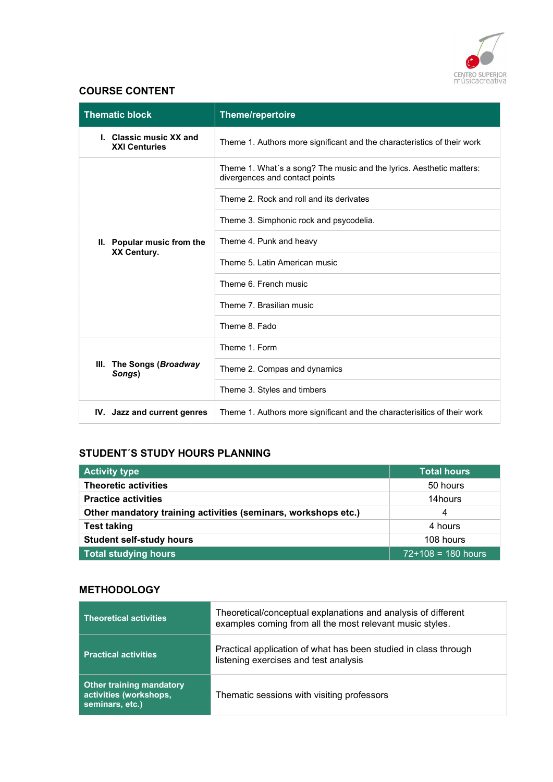

### COURSE CONTENT

| <b>Thematic block</b>                           | <b>Theme/repertoire</b>                                                                                |  |
|-------------------------------------------------|--------------------------------------------------------------------------------------------------------|--|
| I. Classic music XX and<br><b>XXI Centuries</b> | Theme 1. Authors more significant and the characteristics of their work                                |  |
| II. Popular music from the<br>XX Century.       | Theme 1. What's a song? The music and the lyrics. Aesthetic matters:<br>divergences and contact points |  |
|                                                 | Theme 2. Rock and roll and its derivates                                                               |  |
|                                                 | Theme 3. Simphonic rock and psycodelia.                                                                |  |
|                                                 | Theme 4. Punk and heavy                                                                                |  |
|                                                 | Theme 5. Latin American music                                                                          |  |
|                                                 | Theme 6. French music                                                                                  |  |
|                                                 | Theme 7. Brasilian music                                                                               |  |
|                                                 | Theme 8. Fado                                                                                          |  |
|                                                 | Theme 1. Form                                                                                          |  |
| III.<br>The Songs (Broadway<br>Songs)           | Theme 2. Compas and dynamics                                                                           |  |
|                                                 | Theme 3. Styles and timbers                                                                            |  |
| IV. Jazz and current genres                     | Theme 1. Authors more significant and the characterisitics of their work                               |  |

## STUDENT´S STUDY HOURS PLANNING

| <b>Activity type</b>                                           | <b>Total hours</b>   |
|----------------------------------------------------------------|----------------------|
| <b>Theoretic activities</b>                                    | 50 hours             |
| <b>Practice activities</b>                                     | 14hours              |
| Other mandatory training activities (seminars, workshops etc.) | 4                    |
| <b>Test taking</b>                                             | 4 hours              |
| <b>Student self-study hours</b>                                | 108 hours            |
| Total studying hours                                           | $72+108 = 180$ hours |

#### **METHODOLOGY**

| <b>Theoretical activities</b>                                                | Theoretical/conceptual explanations and analysis of different<br>examples coming from all the most relevant music styles. |
|------------------------------------------------------------------------------|---------------------------------------------------------------------------------------------------------------------------|
| <b>Practical activities</b>                                                  | Practical application of what has been studied in class through<br>listening exercises and test analysis                  |
| <b>Other training mandatory</b><br>activities (workshops,<br>seminars, etc.) | Thematic sessions with visiting professors                                                                                |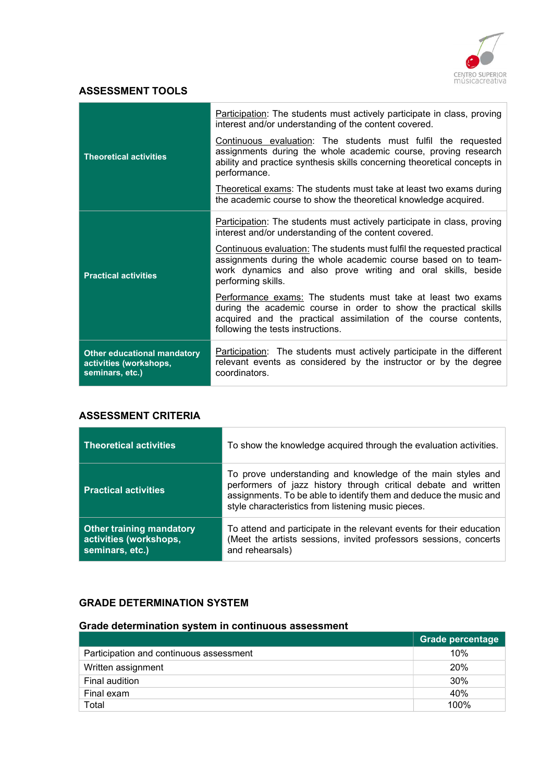

### ASSESSMENT TOOLS

|                                                                                 | Participation: The students must actively participate in class, proving<br>interest and/or understanding of the content covered.                                                                                                         |
|---------------------------------------------------------------------------------|------------------------------------------------------------------------------------------------------------------------------------------------------------------------------------------------------------------------------------------|
| <b>Theoretical activities</b>                                                   | Continuous evaluation: The students must fulfil the requested<br>assignments during the whole academic course, proving research<br>ability and practice synthesis skills concerning theoretical concepts in<br>performance.              |
|                                                                                 | Theoretical exams: The students must take at least two exams during<br>the academic course to show the theoretical knowledge acquired.                                                                                                   |
| <b>Practical activities</b>                                                     | <b>Participation:</b> The students must actively participate in class, proving<br>interest and/or understanding of the content covered.                                                                                                  |
|                                                                                 | Continuous evaluation: The students must fulfil the requested practical<br>assignments during the whole academic course based on to team-<br>work dynamics and also prove writing and oral skills, beside<br>performing skills.          |
|                                                                                 | Performance exams: The students must take at least two exams<br>during the academic course in order to show the practical skills<br>acquired and the practical assimilation of the course contents,<br>following the tests instructions. |
| <b>Other educational mandatory</b><br>activities (workshops,<br>seminars, etc.) | Participation: The students must actively participate in the different<br>relevant events as considered by the instructor or by the degree<br>coordinators.                                                                              |

#### ASSESSMENT CRITERIA

| <b>Theoretical activities</b>                                                | To show the knowledge acquired through the evaluation activities.                                                                                                                                                                                        |
|------------------------------------------------------------------------------|----------------------------------------------------------------------------------------------------------------------------------------------------------------------------------------------------------------------------------------------------------|
| <b>Practical activities</b>                                                  | To prove understanding and knowledge of the main styles and<br>performers of jazz history through critical debate and written<br>assignments. To be able to identify them and deduce the music and<br>style characteristics from listening music pieces. |
| <b>Other training mandatory</b><br>activities (workshops,<br>seminars, etc.) | To attend and participate in the relevant events for their education<br>(Meet the artists sessions, invited professors sessions, concerts<br>and rehearsals)                                                                                             |

#### GRADE DETERMINATION SYSTEM

# Grade determination system in continuous assessment

|                                         | <b>Grade percentage</b> |
|-----------------------------------------|-------------------------|
| Participation and continuous assessment | 10%                     |
| Written assignment                      | <b>20%</b>              |
| Final audition                          | 30%                     |
| Final exam                              | 40%                     |
| Total                                   | 100%                    |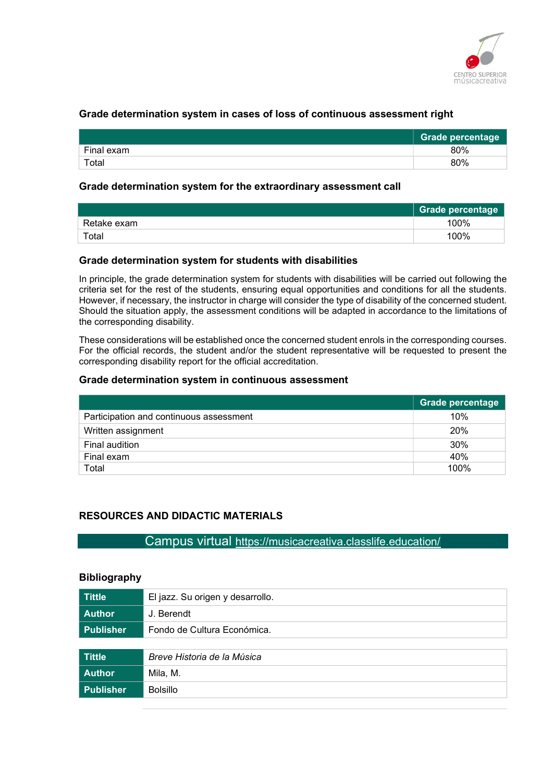

#### Grade determination system in cases of loss of continuous assessment right

|            | <b>Grade percentage</b> |
|------------|-------------------------|
| Final exam | 80%                     |
| Total      | 80%                     |

#### Grade determination system for the extraordinary assessment call

|             | Grade percentage |
|-------------|------------------|
| Retake exam | 100%             |
| Total       | 100%             |

#### Grade determination system for students with disabilities

In principle, the grade determination system for students with disabilities will be carried out following the criteria set for the rest of the students, ensuring equal opportunities and conditions for all the students. However, if necessary, the instructor in charge will consider the type of disability of the concerned student. Should the situation apply, the assessment conditions will be adapted in accordance to the limitations of the corresponding disability.

These considerations will be established once the concerned student enrols in the corresponding courses. For the official records, the student and/or the student representative will be requested to present the corresponding disability report for the official accreditation.

#### Grade determination system in continuous assessment

|                                         | Grade percentage |
|-----------------------------------------|------------------|
| Participation and continuous assessment | 10%              |
| Written assignment                      | 20%              |
| Final audition                          | 30%              |
| Final exam                              | 40%              |
| Total                                   | 100%             |

#### RESOURCES AND DIDACTIC MATERIALS

Campus virtual https://musicacreativa.classlife.education/

#### **Bibliography**

| <b>Tittle</b>    | El jazz. Su origen y desarrollo. |
|------------------|----------------------------------|
| <b>Author</b>    | J. Berendt                       |
| <b>Publisher</b> | Fondo de Cultura Económica.      |
|                  |                                  |
| <b>Tittle</b>    | Breve Historia de la Música      |
| <b>Author</b>    | Mila, M.                         |
| <b>Publisher</b> | <b>Bolsillo</b>                  |